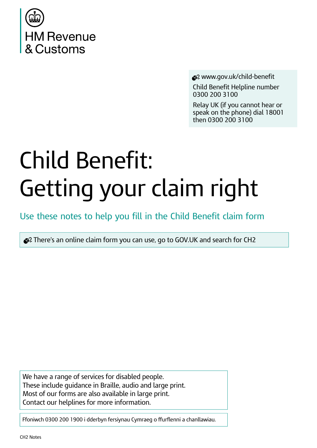

www.gov.uk/child-benefit

Child Benefit Helpline number 0300 200 3100

Relay UK (if you cannot hear or speak on the phone) dial 18001 then 0300 200 3100

# **Child Benefit:** Getting your claim right

Use these notes to help you fill in the Child Benefit claim form

 $\bullet$  There's an online claim form you can use, go to GOV.UK and search for CH2

We have a range of services for disabled people. These include quidance in Braille, audio and large print. Most of our forms are also available in large print. Contact our helplines for more information.

Ffoniwch 0300 200 1900 i dderbyn fersiynau Cymraeg o ffurflenni a chanllawiau.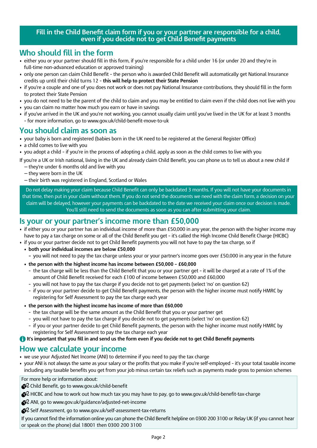### **Fill in the Child Benefit claim form if you or your partner are responsible for a child, even if you decide not to get Child Benefit payments**

### **Who should fill in the form**

- either you or your partner should fill in this form, if you're responsible for a child under 16 (or under 20 and they're in full-time non-advanced education or approved training)
- only one person can claim Child Benefit the person who is awarded Child Benefit will automatically get National Insurance credits up until their child turns 12 – **this will help to protect their State Pension**
- if you're a couple and one of you does not work or does not pay National Insurance contributions, they should fill in the form to protect their State Pension
- you do not need to be the parent of the child to claim and you may be entitled to claim even if the child does not live with you
- you can claim no matter how much you earn or have in savings
- if you've arrived in the UK and you're not working, you cannot usually claim until you've lived in the UK for at least 3 months – for more information, go to www.gov.uk/child-benefit-move-to-uk

### **You should claim as soon as**

**•** your baby is born and registered (babies born in the UK need to be registered at the General Register Office)

- a child comes to live with you
- you adopt a child if you're in the process of adopting a child, apply as soon as the child comes to live with you
- If you're a UK or Irish national, living in the UK and already claim Child Benefit, you can phone us to tell us about a new child if
	- they're under 6 months old and live with you
	- $-$  they were born in the UK
	- their birth was registered in England, Scotland or Wales

Do not delay making your claim because Child Benefit can only be backdated 3 months. If you will not have your documents in that time, then put in your claim without them. If you do not send the documents we need with the claim form, a decision on your claim will be delayed, however your payments can be backdated to the date we received your claim once our decision is made. You'll still need to send the documents as soon as you can after submitting your claim.

### **Is your or your partner's income more than £50,000**

- if either you or your partner has an individual income of more than £50,000 in any year, the person with the higher income may have to pay a tax charge on some or all of the Child Benefit you get – it's called the High Income Child Benefit Charge (HICBC)
- if you or your partner decide not to get Child Benefit payments you will not have to pay the tax charge, so if
	- **• both your individual incomes are below £50,000**
		- **–** you will not need to pay the tax charge unless your or your partner's income goes over £50,000 in any year in the future
	- **• the person with the highest income has income between £50,000 £60,000**
		- the tax charge will be less than the Child Benefit that you or your partner get it will be charged at a rate of 1% of the amount of Child Benefit received for each £100 of income between £50,000 and £60,000
		- you will not have to pay the tax charge if you decide not to get payments (select 'no' on question 62)
		- if you or your partner decide to get Child Benefit payments, the person with the higher income must notify HMRC by registering for Self Assessment to pay the tax charge each year
	- **• the person with the highest income has income of more than £60,000**
		- the tax charge will be the same amount as the Child Benefit that you or your partner get
		- you will not have to pay the tax charge if you decide not to get payments (select 'no' on question 62)
		- if you or your partner decide to get Child Benefit payments, the person with the higher income must notify HMRC by registering for Self Assessment to pay the tax charge each year

### **1** It's important that you fill in and send us the form even if you decide not to get Child Benefit payments

### **How we calculate your income**

- we use your Adjusted Net Income (ANI) to determine if you need to pay the tax charge
- your ANI is not always the same as your salary or the profits that you make if you're self-employed it's your total taxable income including any taxable benefits you get from your job minus certain tax reliefs such as payments made gross to pension schemes

For more help or information about:

Colid Benefit, go to www.gov.uk/child-benefit

 $\bigotimes$  HICBC and how to work out how much tax you may have to pay, go to www.gov.uk/child-benefit-tax-charge

ANI, go to www.gov.uk/guidance/adjusted-net-income

Self Assessment, go to www.gov.uk/self-assessment-tax-returns

If you cannot find the information online you can phone the Child Benefit helpline on 0300 200 3100 or Relay UK (if you cannot hear or speak on the phone) dial 18001 then 0300 200 3100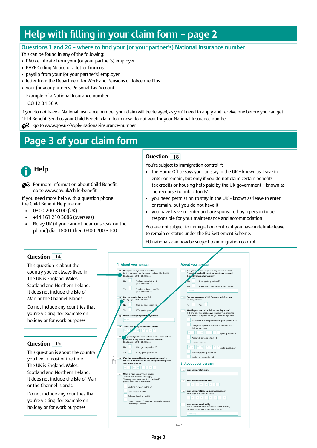# **Help with filling in your claim form - page 2**

### **Questions 1 and 26 - where to find your (or your partner's) National Insurance number**

This can be found in any of the following:

- P60 certificate from your (or your partner's) employer
- PAYE Coding Notice or a letter from us
- payslip from your (or your partner's) employer
- letter from the Department for Work and Pensions or Jobcentre Plus
- your (or your partner's) Personal Tax Account

Example of a National Insurance number

QQ 12 34 56 A

If you do not have a National Insurance number your claim will be delayed, as you'll need to apply and receive one before you can get Child Benefit. Send us your Child Benefit claim form now, do not wait for your National Insurance number.

 $\leq 2$  go to www.gov.uk/apply-national-insurance-number

# **Page 3 of your claim form**



 $\bigotimes$  For more information about Child Benefit, go to www.gov.uk/child-benefit

If you need more help with a question phone the Child Benefit Helpline on:

- 0300 200 3100 (UK)
- +44 161 210 3086 (overseas)
- Relay UK (if you cannot hear or speak on the phone) dial 18001 then 0300 200 3100

### **Question 18**

You're subject to immigration control if:

- $\bullet$  the Home Office says you can stay in the UK known as 'leave to enter or remain', but only if you do not claim certain benefits, tax credits or housing help paid by the UK government - known as 'no recourse to public funds'
- you need permission to stay in the UK known as 'leave to enter or remain', but you do not have it
- you have leave to enter and are sponsored by a person to be responsible for your maintenance and accommodation

You are not subject to immigration control if you have indefinite leave to remain or status under the EU Settlement Scheme.

EU nationals can now be subject to immigration control.

### **Question 14**

This question is about the country you've always lived in. The UK is England, Wales, Scotland and Northern Ireland. It does not include the Isle of Man or the Channel Islands.

Do not include any countries that you're visiting, for example on holiday or for work purposes.

### **Question 15**

This question is about the country you live in most of the time. The UK is England, Wales, Scotland and Northern Ireland. It does not include the Isle of Man or the Channel Islands.

Do not include any countries that you're visiting, for example on holiday or for work purposes.

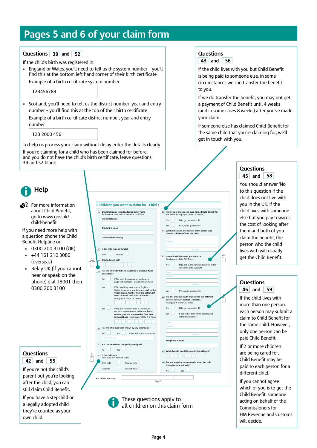## **Pages 5 and 6 of your claim form**

### $\bf{Questions}$  39 and  $\bf{52}$

If the child's birth was registered in:

• England or Wales, you'll need to tell us the system number - you'll find this at the bottom left hand corner of their birth certificate Example of a birth certificate system number

### <sup>123456789</sup>

• Scotland, you'll need to tell us the district number, year and entry number - you'll find this at the top of their birth certificate

Example of a birth certificate district number, year and entry number 

 123 2000 456

To help us process your claim without delay enter the details clearly. If you're claiming for a child who has been claimed for before, and you do not have the child's birth certificate, leave questions 39 and 52 blank. 

# **Help**

 $\bigotimes$  For more information about Child Benefit, go to www.gov.uk/ child-benefit

If you need more help with a question phone the Child Benefit Helpline on:

- 0300 200 3100 (UK) +44 161 210 3086 (overseas)
- Relay UK (if you cannot hear or speak on the phone) dial 18001 then 0300 200 3100

### **Questions and 42 55**

If you're not the child's parent but you're looking after the child, you can still claim Child Benefit.

If you have a stepchild or a legally adopted child, they're counted as your own child.

#### Page 5 **3 Children you want to claim for - Child 1** Social worker **47 What date did the child come to live with you? 43 Have you or anyone else ever claimed Child Benefit for this child?** Read page 4 of the CH2 Notes. No If No, go to question 45 Yes If Yes, go to question 44 **44 What is the name and address of the person who claimed Child Benefit for this child?** Name **Postcode Postcode 45 Does this child live with you in the UK?**  Read page 4 of the CH2 Notes. No If No, tell us the name and address of the person the child lives with **Postcode Postcode** If Yes, go to question 46 **46 Has this child lived with anyone else at a different address to you in the last 12 months?**  Read page 4 of the CH2 Notes. No If No, go to question 48 Yes **If Yes, tell us their name, address and** telephone number **Postcode Telephone number 48 Are you adopting or planning to adopt this child through a local authority?** No Yes **36 Child's full name including last or family name** As shown on their birth or adoption certificate. **Child's last name Child's first name Child's middle name(s) 37 Is this child male or female?** Male **Female 38 Child's date of birth 39 Has this child's birth been registered in England, Wales or Scotland?** If No, send the documents as shown<br>page 4 of this form - 'Documents we page 4 of this form – 'Documents we need' Yes If Yes, and they were born in England or<br>Wales, do not send any documents, tell us the<br>9 digit system number from the bottom left<br>hand corner of their birth certificate -<br>read page 4 of the CH2 Notes Yes If Yes, and they were born in Scotland, do<br>not send any documents, **tell us the district<br>number, year and entry number from their<br><b>birth certificate** – read page 4 of the CH2 Notes **40 Has this child ever been known by any other name?** No Yes If Yes, tell us the other n **41 Has the name been changed by deed poll?** No Yes **42 Is this child your:** Read page 4 of the CH2 Notes. Birth child Adopted child Stepchild None of these For office use 4 For official use box 3 For office use 6 For office use 5 For official use only

These questions apply to all children on this claim form

### **Questions**



If the child lives with you but Child Benefit is being paid to someone else, in some circumstances we can transfer the benefit to you.

If we do transfer the benefit, you may not get a payment of Child Benefit until 4 weeks (and in some cases 8 weeks) after you've made your claim.

If someone else has claimed Child Benefit for the same child that you're claiming for, we'll get in touch with you.

### **Questions and 45 58**

You should answer 'No' to this question if the child does not live with you in the UK. If the child lives with someone else but you pay towards the cost of looking after them and both of you claim the benefit, the person who the child lives with will usually get the Child Benefit.

### **Questions and 46 59**

If the child lives with more than one person, each person may submit a claim to Child Benefit for the same child. However only one person can be paid Child Benefit.

If 2 or more children are being cared for, Child Benefit may be paid to each person for a different child.

If you cannot agree which of you is to get the Child Benefit, someone acting on behalf of the Commissioners for HM Revenue and Customs will decide.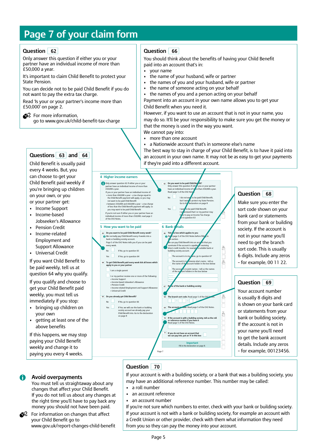# **Page 7 of your claim form**

### **Question**

Only answer this question if either you or your partner have an individual income of more than £50,000 a year. 

It's important to claim Child Benefit to protect your State Pension.

You can decide not to be paid Child Benefit if you do not want to pay the extra tax charge.

Read 'Is your or your partner's income more than £50,000' on page 2.

 $\heartsuit$  For more information, go to www.gov.uk/child-benefit-tax-charge

### **Questions and 63 64**

Child Benefit is usually paid every 4 weeks. But, you can choose to get your Child Benefit paid weekly if you're bringing up children on your own, or you or your partner get:

- Income Support
- Income-based Jobseeker's Allowance
- Pension Credit
- Income-related Employment and Support Allowance
- • Universal Credit

If you want Child Benefit to be paid weekly, tell us at question 64 why you qualify.

If you qualify and choose to get your Child Benefit paid weekly, you must tell us immediately if you stop:

- bringing up children on your own
- getting at least one of the above benefits

If this happens, we may stop paying your Child Benefit weekly and change it to paying you every 4 weeks.

### **Avoid overpayments**

You must tell us straightaway about any changes that affect your Child Benefit. If you do not tell us about any changes at the right time you'll have to pay back any money you should not have been paid.

For information on changes that affect your Child Benefit go to www.gov.uk/report-changes-child-benefit

### **62 Question 66**

You should think about the benefits of having your Child Benefit paid into an account that's in:

- your name
- the name of your husband, wife or partner
- the names of you and your husband, wife or partner
- the name of someone acting on your behalf
- the names of you and a person acting on your behalf

Payment into an account in your own name allows you to get your Child Benefit when you need it.

However, if you want to use an account that is not in your name, you may do so. It'll be your responsibility to make sure you get the money or that the money is used in the way you want.

- We cannot pay into: • more than one account
- a Nationwide account that's in someone else's name

The best way to stay in charge of your Child Benefit, is to have it paid into an account in your own name. It may not be as easy to get your payments if they're paid into a different account.



### **Question 68**

Make sure you enter the sort code shown on your bank card or statements from your bank or building society. If the account is not in your name you'll need to get the branch sort code. This is usually 6 digits. Include any zeros - for example, 00 11 22.

### **Question 69**

Your account number is usually 8 digits and is shown on your bank card or statements from your bank or building society. If the account is not in your name you'll need to get the bank account details. Include any zeros - for example, 00123456.

### **Question 70**

If your account is with a building society, or a bank that was a building society, you may have an additional reference number. This number may be called:

- a roll number
- an account reference
- an account number

If you're not sure which numbers to enter, check with your bank or building society. If your account is not with a bank or building society, for example an account with a Credit Union or other provider, check with them what information they need from you so they can pay the money into your account.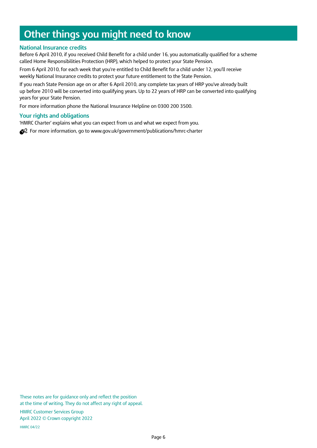# **Other things you might need to know**

### **National Insurance credits**

Before 6 April 2010, if you received Child Benefit for a child under 16, you automatically qualified for a scheme called Home Responsibilities Protection (HRP), which helped to protect your State Pension.

From 6 April 2010, for each week that you're entitled to Child Benefit for a child under 12, you'll receive weekly National Insurance credits to protect your future entitlement to the State Pension.

If you reach State Pension age on or after 6 April 2010, any complete tax years of HRP you've already built up before 2010 will be converted into qualifying years. Up to 22 years of HRP can be converted into qualifying years for your State Pension.

For more information phone the National Insurance Helpline on 0300 200 3500.

### **Your rights and obligations**

'HMRC Charter' explains what you can expect from us and what we expect from you.

S<sup>2</sup> For more information, go to www.gov.uk/government/publications/hmrc-charter

These notes are for guidance only and reflect the position at the time of writing. They do not affect any right of appeal.

HMRC Customer Services Group April 2022 © Crown copyright 2022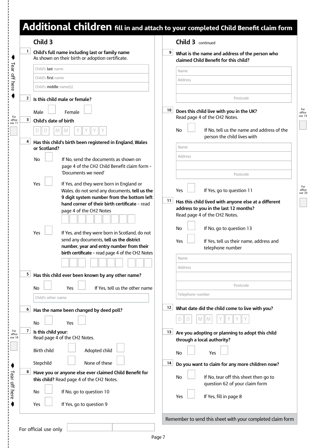# Additional children fill in and attach to your completed Child Benefit claim form

| Child 3                                                                                                   |                                                                                             | <b>Child 3</b> continued |                                                                                         |
|-----------------------------------------------------------------------------------------------------------|---------------------------------------------------------------------------------------------|--------------------------|-----------------------------------------------------------------------------------------|
| 1 <br>Child's full name including last or family name<br>As shown on their birth or adoption certificate. |                                                                                             | 9                        | What is the name and address of the person who<br>claimed Child Benefit for this child? |
| Child's last name                                                                                         |                                                                                             | Name                     |                                                                                         |
| Child's first name                                                                                        |                                                                                             | Address                  |                                                                                         |
| Child's <b>middle</b> name(s)                                                                             |                                                                                             |                          |                                                                                         |
| 2<br>Is this child male or female?                                                                        |                                                                                             |                          | Postcode                                                                                |
| Male<br>Female                                                                                            |                                                                                             | 10                       | Does this child live with you in the UK?                                                |
| 3<br>Child's date of birth                                                                                |                                                                                             |                          | Read page 4 of the CH2 Notes.                                                           |
| M<br>M                                                                                                    |                                                                                             | No                       | If No, tell us the name and address of the<br>person the child lives with               |
| 4<br>Has this child's birth been registered in England, Wales<br>or Scotland?                             |                                                                                             | Name                     |                                                                                         |
|                                                                                                           |                                                                                             | Address                  |                                                                                         |
| No                                                                                                        | If No, send the documents as shown on<br>page 4 of the CH2 Child Benefit claim form -       |                          |                                                                                         |
| 'Documents we need'                                                                                       |                                                                                             |                          | Postcode                                                                                |
| Yes                                                                                                       | If Yes, and they were born in England or<br>Wales, do not send any documents, tell us the   | Yes                      | If Yes, go to question 11                                                               |
|                                                                                                           | 9 digit system number from the bottom left<br>hand corner of their birth certificate - read | 11                       | Has this child lived with anyone else at a different                                    |
| page 4 of the CH2 Notes                                                                                   |                                                                                             |                          | address to you in the last 12 months?                                                   |
|                                                                                                           |                                                                                             |                          | Read page 4 of the CH2 Notes.                                                           |
|                                                                                                           |                                                                                             | No                       | If No, go to question 13                                                                |
| Yes                                                                                                       | If Yes, and they were born in Scotland, do not                                              |                          |                                                                                         |
|                                                                                                           | send any documents, tell us the district<br>number, year and entry number from their        | Yes                      | If Yes, tell us their name, address and                                                 |
|                                                                                                           | birth certificate - read page 4 of the CH2 Notes                                            |                          | telephone number                                                                        |
|                                                                                                           |                                                                                             | Name                     |                                                                                         |
| 5<br>Has this child ever been known by any other name?                                                    |                                                                                             | Address                  |                                                                                         |
|                                                                                                           | If Yes, tell us the other name                                                              |                          | Postcode                                                                                |
| No<br>Yes<br>Child's other name                                                                           |                                                                                             | Telephone number         |                                                                                         |
| 6<br>Has the name been changed by deed poll?                                                              |                                                                                             | 12                       | What date did the child come to live with you?                                          |
|                                                                                                           |                                                                                             |                          | M<br>M                                                                                  |
| No<br>Yes                                                                                                 |                                                                                             |                          |                                                                                         |
| $\overline{7}$<br>Is this child your:<br>Read page 4 of the CH2 Notes.                                    |                                                                                             | 13                       | Are you adopting or planning to adopt this child<br>through a local authority?          |
| <b>Birth child</b>                                                                                        | Adopted child                                                                               | <b>No</b>                | Yes                                                                                     |
| Stepchild                                                                                                 | None of these                                                                               | 14                       | Do you want to claim for any more children now?                                         |
| 8<br>this child? Read page 4 of the CH2 Notes.                                                            | Have you or anyone else ever claimed Child Benefit for                                      | No                       | If No, tear off this sheet then go to<br>question 62 of your claim form                 |
| If No, go to question 10<br>No                                                                            |                                                                                             | Yes                      | If Yes, fill in page 8                                                                  |
|                                                                                                           |                                                                                             |                          |                                                                                         |